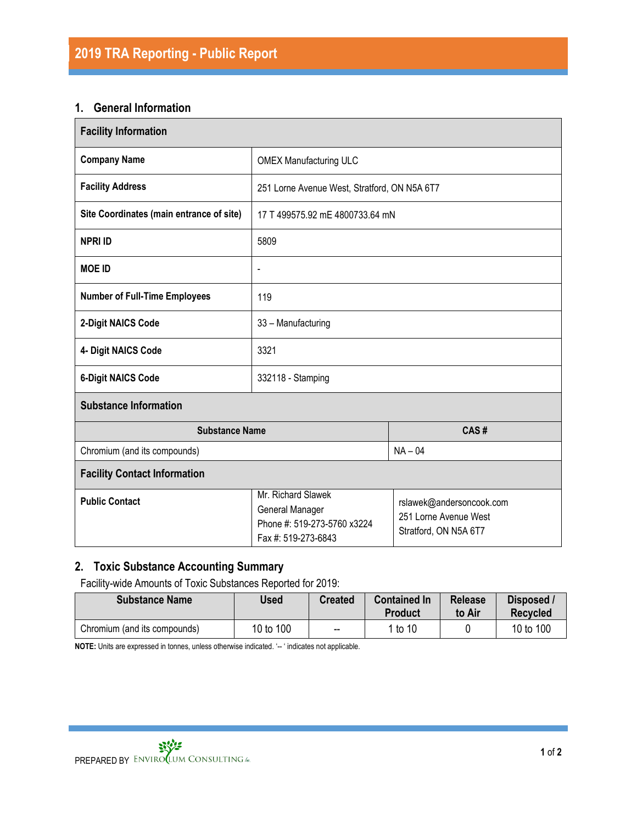## **1. General Information**

| <b>Facility Information</b>              |                                                                                             |                                                                            |  |  |  |  |
|------------------------------------------|---------------------------------------------------------------------------------------------|----------------------------------------------------------------------------|--|--|--|--|
| <b>Company Name</b>                      | <b>OMEX Manufacturing ULC</b>                                                               |                                                                            |  |  |  |  |
| <b>Facility Address</b>                  | 251 Lorne Avenue West, Stratford, ON N5A 6T7                                                |                                                                            |  |  |  |  |
| Site Coordinates (main entrance of site) | 17 T 499575.92 mE 4800733.64 mN                                                             |                                                                            |  |  |  |  |
| <b>NPRI ID</b>                           | 5809                                                                                        |                                                                            |  |  |  |  |
| <b>MOE ID</b>                            | $\overline{\phantom{a}}$                                                                    |                                                                            |  |  |  |  |
| <b>Number of Full-Time Employees</b>     | 119                                                                                         |                                                                            |  |  |  |  |
| 2-Digit NAICS Code                       | 33 - Manufacturing                                                                          |                                                                            |  |  |  |  |
| 4- Digit NAICS Code                      | 3321                                                                                        |                                                                            |  |  |  |  |
| <b>6-Digit NAICS Code</b>                | 332118 - Stamping                                                                           |                                                                            |  |  |  |  |
| <b>Substance Information</b>             |                                                                                             |                                                                            |  |  |  |  |
| <b>Substance Name</b>                    | CAS#                                                                                        |                                                                            |  |  |  |  |
| Chromium (and its compounds)             | $NA - 04$                                                                                   |                                                                            |  |  |  |  |
| <b>Facility Contact Information</b>      |                                                                                             |                                                                            |  |  |  |  |
| <b>Public Contact</b>                    | Mr. Richard Slawek<br>General Manager<br>Phone #: 519-273-5760 x3224<br>Fax #: 519-273-6843 | rslawek@andersoncook.com<br>251 Lorne Avenue West<br>Stratford, ON N5A 6T7 |  |  |  |  |

# **2. Toxic Substance Accounting Summary**

Facility-wide Amounts of Toxic Substances Reported for 2019:

| <b>Substance Name</b>        | Used      | <b>Created</b> | <b>Contained In</b><br><b>Product</b> | <b>Release</b><br>to Air | Disposed /<br><b>Recvcled</b> |
|------------------------------|-----------|----------------|---------------------------------------|--------------------------|-------------------------------|
| Chromium (and its compounds) | 10 to 100 | $- -$          | 1 to 10                               |                          | 10 to 100                     |

**NOTE:** Units are expressed in tonnes, unless otherwise indicated. '-- ' indicates not applicable.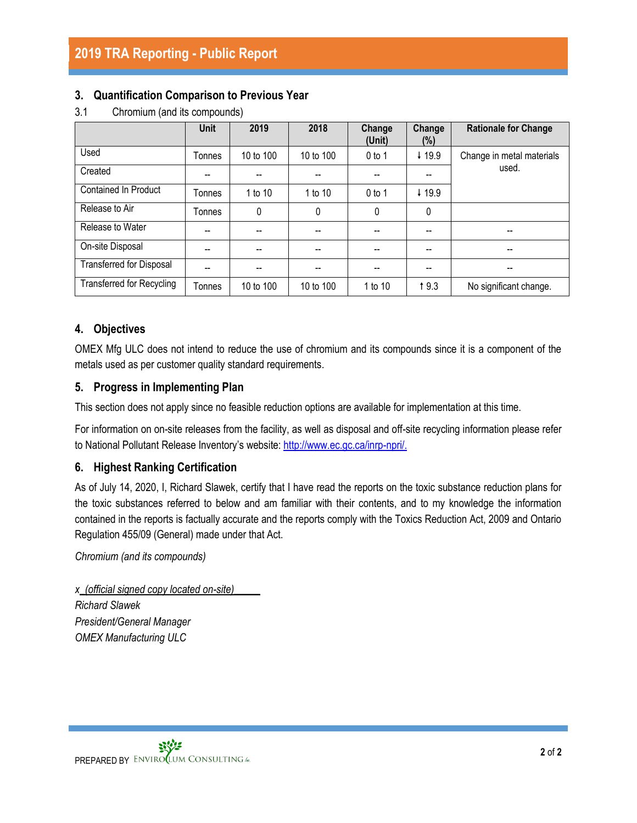## **3. Quantification Comparison to Previous Year**

|                                  | <b>Unit</b> | 2019                     | 2018      | Change<br>(Unit) | Change<br>$(\%)$                      | <b>Rationale for Change</b> |
|----------------------------------|-------------|--------------------------|-----------|------------------|---------------------------------------|-----------------------------|
| Used                             | Tonnes      | 10 to 100                | 10 to 100 | $0$ to 1         | ↓ 19.9                                | Change in metal materials   |
| Created                          |             |                          |           |                  |                                       | used.                       |
| Contained In Product             | Tonnes      | 1 to 10                  | 1 to 10   | $0$ to 1         | ↓ 19.9                                |                             |
| Release to Air                   | Tonnes      | 0                        | 0         | 0                | 0                                     |                             |
| Release to Water                 | $-$         | $\overline{\phantom{a}}$ | --        | --               | $\overline{\phantom{a}}$              |                             |
| On-site Disposal                 | --          | $- -$                    |           | --               | $\hspace{0.05cm}$ – $\hspace{0.05cm}$ |                             |
| <b>Transferred for Disposal</b>  |             |                          |           |                  | --                                    |                             |
| <b>Transferred for Recycling</b> | Tonnes      | 10 to 100                | 10 to 100 | 1 to 10          | 19.3                                  | No significant change.      |

3.1 Chromium (and its compounds)

# **4. Objectives**

OMEX Mfg ULC does not intend to reduce the use of chromium and its compounds since it is a component of the metals used as per customer quality standard requirements.

## **5. Progress in Implementing Plan**

This section does not apply since no feasible reduction options are available for implementation at this time.

For information on on-site releases from the facility, as well as disposal and off-site recycling information please refer to National Pollutant Release Inventory's website[: http://www.ec.gc.ca/inrp-npri/.](http://www.ec.gc.ca/inrp-npri/)

## **6. Highest Ranking Certification**

As of July 14, 2020, I, Richard Slawek, certify that I have read the reports on the toxic substance reduction plans for the toxic substances referred to below and am familiar with their contents, and to my knowledge the information contained in the reports is factually accurate and the reports comply with the Toxics Reduction Act, 2009 and Ontario Regulation 455/09 (General) made under that Act.

*Chromium (and its compounds)*

*x\_(official signed copy located on-site)\_\_\_\_\_ Richard Slawek President/General Manager OMEX Manufacturing ULC*